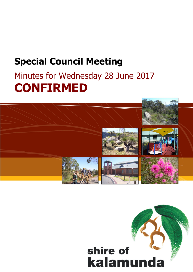# **Special Council Meeting**

# Minutes for Wednesday 28 June 2017 **CONFIRMED**



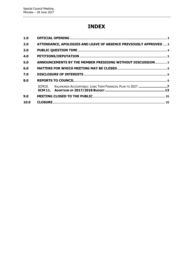# **INDEX**

| 10.0 |                                                                   |  |
|------|-------------------------------------------------------------------|--|
| 9.0  |                                                                   |  |
|      | SCM10. KALAMUNDA ACCOUNTABLE: LONG TERM FINANCIAL PLAN TO 2027 7  |  |
|      |                                                                   |  |
| 8.0  |                                                                   |  |
| 7.0  |                                                                   |  |
| 6.0  |                                                                   |  |
| 5.0  | ANNOUNCEMENTS BY THE MEMBER PRESIDING WITHOUT DISCUSSION 5        |  |
| 4.0  |                                                                   |  |
| 3.0  |                                                                   |  |
| 2.0  | ATTENDANCE, APOLOGIES AND LEAVE OF ABSENCE PREVIOUSLY APPROVED  3 |  |
| 1.0  |                                                                   |  |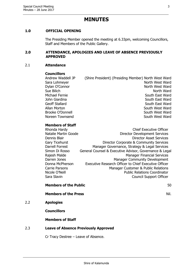# **MINUTES**

# <span id="page-2-0"></span>**1.0 OFFICIAL OPENING**

The Presiding Member opened the meeting at 6.33pm, welcoming Councillors, Staff and Members of the Public Gallery.

#### <span id="page-2-1"></span>**2.0 ATTENDANCE, APOLOGIES AND LEAVE OF ABSENCE PREVIOUSLY APPROVED**

#### 2.1 **Attendance**

#### **Councillors**

Andrew Waddell JP (Shire President) (Presiding Member) North West Ward Sara Lohmeyer North West Ward Dylan O'Connor North West Ward Sue Bilich North Ward Michael Fernie South East Ward John Giardina South East Ward Geoff Stallard South East Ward Allan Morton **South West Ward** Brooke O'Donnell South West Ward Noreen Townsend South West Ward

#### **Members of Staff**

Rhonda Hardy Chief Executive Officer Natalie Martin Goode **Director Development Services** Dennis Blair Director Asset Services Gary Ticehurst Director Corporate & Community Services Darrell Forrest Manager Governance, Strategy & Legal Services Simon Di Rosso General Counsel & Executive Advisor, Governance & Legal Rajesh Malde Manager Financial Services Darren Jones **Manager Community Development** Donna McPherson Executive Research Officer to Chief Executive Officer<br>Carrie Parsons Manager Customer & Public Relations Manager Customer & Public Relations Nicole O'Neill Public Relations Coordinator Sara Slavin Council Support Officer

#### **Members of the Public** 50 and 50 and 50 and 50 and 50 and 50 and 50 and 50 and 50 and 50 and 50 and 50 and 50 and 50 and 50 and 50 and 50 and 50 and 50 and 50 and 50 and 50 and 50 and 50 and 50 and 50 and 50 and 50 and 50

# **Members of the Press** Nil. **Nille Results and Security Allen Nille Results and Nille Results and Nille Results and Nille Results and Nille Results and Nille Results and Nille Results and Nille Results and Nille Results an**

2.2 **Apologies**

#### **Councillors**

#### **Members of Staff**

#### 2.3 **Leave of Absence Previously Approved**

Cr Tracy Destree – Leave of Absence.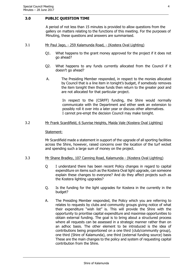#### <span id="page-3-0"></span>**3.0 PUBLIC QUESTION TIME**

A period of not less than 15 minutes is provided to allow questions from the gallery on matters relating to the functions of this meeting. For the purposes of Minuting, these questions and answers are summarised.

#### 3.1 Mr Paul Jago, - 259 Kalamunda Road, - (Kostera Oval Lighting)

- Q1. What happens to the grant money approved for the project if it does not go ahead?
- Q2. What happens to any funds currently allocated from the Council if it doesn't go ahead?
- A. The Presiding Member responded, in respect to the monies allocated by Council that is a line item in tonight's budget, if somebody removes the item tonight then those funds then return to the greater pool and are not allocated for that particular project.

In respect to the (CSRFF) funding, the Shire would normally communicate with the Department and either seek an extension to possibly roll it over into a later year or discuss other alternatives. I cannot pre-empt the decision Council may make tonight.

#### 3.2 Mr Frank Scardifield, 6 Sunrise Heights, Maida Vale (Kostera Oval Lighting)

#### Statement:

Mr Scardifield made a statement in support of the upgrade of all sporting facilities across the Shire, however, raised concerns over the location of the turf wicket and spending such a large sum of money on the project.

#### 3.3 Mr Shane Bradley, 107 Canning Road, Kalamunda - (Kostera Oval Lighting)

- Q I understand there has been recent Policy changes in regard to capital expenditure on items such as the Kostera Oval light upgrade, can someone explain these changes to everyone? And do they affect projects such as the Kostera lighting upgrades?
- Q. Is the funding for the light upgrades for Kostera in the currently in the budget?
- A. The Presiding Member responded, the Policy which you are referring to relates to requests by clubs and community groups giving notice of what their expenditure "wish list" is. This will provide the Shire with the opportunity to prioritise capital expenditure and maximise opportunities to obtain external funding. The goal is to bring about a structured process where all requests can be assessed in a strategic manner rather than on an adhoc basis. The other element to be introduced is the idea of contributions being proportioned on a one third (club/community group), one third (Shire of Kalamunda), one third (external funding source) basis These are the main changes to the policy and system of requesting capital contribution from the Shire.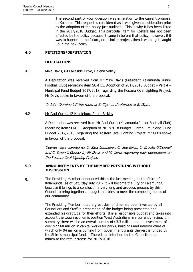The second part of your question was in relation to the current proposal at Kostera. This request is considered as it was given consideration prior to the adoption of the policy just outlined. This is why it has been listed in the 2017/2018 Budget. This particular item for Kostera has not been affected by the policy because it came in before that policy, however, if it was to happen in the future, or a similar project, then it would get caught up in the new policy.

# <span id="page-4-0"></span>**4.0 PETITIONS/DEPUTATION**

# **DEPUTATIONS**

# 4.1 Mike Davis, 64 Lakeside Drive, Helena Valley

A Deputation was received from Mr Mike Davis (President Kalamunda Junior Football Club) regarding item SCM 11. Adoption of 2017/2018 Budget – Part 4 – Municipal Fund Budget 2017/2018, regarding the Kostera Oval Lighting Project. Mr Davis spoke in favour of the proposal.

Cr John Giardina left the room at 6:42pm and returned at 6:43pm.

4.2 Mr Paul Curtis, 12 Heidleburg Road, Bickley

A Deputation was received from Mr Paul Curtis (Kalamunda Junior Football Club) regarding item SCM 11. Adoption of 2017/2018 Budget - Part 4 – Municipal Fund Budget 2017/2018, regarding the Kostera Oval Lighting Project. Mr Cutis spoke in favour of the proposal.

Queries were clarified for Cr Sara Lohmeyer, Cr Sue Bilich, Cr Brooke O'Donnell and Cr Dylan O'Connor by Mr Davis and Mr Curtis regarding their deputations on the Kostera Oval Lighting Project.

# <span id="page-4-1"></span>**5.0 ANNOUNCEMENTS BY THE MEMBER PRESIDING WITHOUT DISCUSSION**

5.1 The Presiding Member announced this is the last meeting as the Shire of Kalamunda, as of Saturday July 2017 it will become the City of Kalamunda, because it brings to a conclusion a very long and arduous process by this Council to bring together a budget that tries to meet the competing needs of our community.

> The Presiding Member noted a great deal of time had been invested by all Councillors and Staff in preparation of the budget being presented and extended his gratitude for their efforts. It is a responsible budget and takes into account the tough economic position West Australians are currently facing. In summary there will be an overall surplus of \$3.3 million and an investment of over \$22.68 million in capital works for parks, buildings and infrastructure of which only \$4 million is coming from government grants the rest is funded by the Shire's municipal funds. There is an intention by the Councillors to minimise the rate increase for 2017/2018.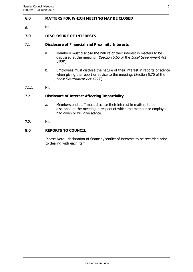#### <span id="page-5-0"></span>**6.0 MATTERS FOR WHICH MEETING MAY BE CLOSED**

6.1 Nil.

# <span id="page-5-1"></span>**7.0 DISCLOSURE OF INTERESTS**

#### 7.1 **Disclosure of Financial and Proximity Interests**

- a. Members must disclose the nature of their interest in matters to be discussed at the meeting. (Section 5.65 of the Local Government Act 1995.)
- b. Employees must disclose the nature of their interest in reports or advice when giving the report or advice to the meeting. (Section 5.70 of the Local Government Act 1995.)
- 7.1.1 Nil.

#### 7.2 **Disclosure of Interest Affecting Impartiality**

- a. Members and staff must disclose their interest in matters to be discussed at the meeting in respect of which the member or employee had given or will give advice.
- 7.2.1 Nil.

#### <span id="page-5-2"></span>**8.0 REPORTS TO COUNCIL**

Please Note: declaration of financial/conflict of interests to be recorded prior to dealing with each item.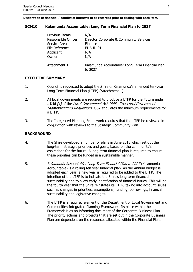**Declaration of financial / conflict of interests to be recorded prior to dealing with each item.**

#### <span id="page-6-0"></span>**SCM10. Kalamunda Accountable: Long Term Financial Plan to 2027**

| <b>Previous Items</b> | N/A                                                        |
|-----------------------|------------------------------------------------------------|
| Responsible Officer   | Director Corporate & Community Services                    |
| Service Area          | Finance                                                    |
| File Reference        | FI-BUD-014                                                 |
| Applicant             | N/A                                                        |
| Owner                 | N/A                                                        |
| Attachment 1          | Kalamunda Accountable: Long Term Financial Plan<br>to 2027 |

# **EXECUTIVE SUMMARY**

- 1. Council is requested to adopt the Shire of Kalamunda's amended ten-year Long Term Financial Plan (LTFP) (Attachment 1).
- 2. All local governments are required to produce a LTFP for the Future under s5.56 (1) of the Local Government Act 1995. The Local Government (Administration) Regulations 1996 stipulates the minimum requirements for a LTFP.
- 3. The Integrated Planning Framework requires that the LTFP be reviewed in conjunction with reviews to the Strategic Community Plan.

# **BACKGROUND**

- 4. The Shire developed a number of plans in June 2013 which set out the long-term strategic priorities and goals, based on the community's aspirations for the future. A long term financial plan is required to ensure these priorities can be funded in a sustainable manner.
- 5. Kalamunda Accountable: Long Term Financial Plan to 2027 (Kalamunda Accountable) is a rolling ten year financial plan. As the Annual Budget is adopted each year, a new year is required to be added to the LTFP. The intention of the LTFP is to indicate the Shire's long term financial sustainability and to allow early identification of financial issues. This will be the fourth year that the Shire reinstates its LTFP, taking into account issues such as changes in priorities, assumptions, funding, borrowings, financial sustainability and legislative changes.
- 6. The LTFP is a required element of the Department of Local Government and Communities Integrated Planning Framework. Its place within the Framework is as an informing document of the Corporate Business Plan. The priority actions and projects that are set out in the Corporate Business Plan are dependent on the resources allocated within the Financial Plan.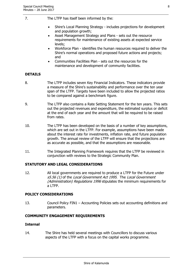- 7. The LTFP has itself been informed by the:
	- Shire's Local Planning Strategy includes projections for development and population growth;
	- Asset Management Strategy and Plans sets out the resource requirements for maintenance of existing assets at expected service levels;
	- Workforce Plan identifies the human resources required to deliver the Shire's normal operations and proposed future actions and projects; and
	- Communities Facilities Plan sets out the resources for the maintenance and development of community facilities.

# **DETAILS**

- 8. The LTFP includes seven Key Financial Indicators. These indicators provide a measure of the Shire's sustainability and performance over the ten year span of the LTFP. Targets have been included to allow the projected ratios to be compared against a benchmark figure.
- 9. The LTFP also contains a Rate Setting Statement for the ten years. This sets out the projected revenues and expenditure, the estimated surplus or deficit at the end of each year and the amount that will be required to be raised from rates.
- 10. The LTFP has been developed on the basis of a number of key assumptions, which are set out in the LTFP. For example, assumptions have been made about the interest rate for investments, inflation rate, and future population growth. The annual review of the LTFP will ensure that the projections are as accurate as possible, and that the assumptions are reasonable.
- 11. The Integrated Planning Framework requires that the LTFP be reviewed in conjunction with reviews to the Strategic Community Plan.

# **STATUTORY AND LEGAL CONSIDERATIONS**

12. All local governments are required to produce a LTFP for the Future under s5.56 (1) of the Local Government Act 1995. The Local Government (Administration) Regulations 1996 stipulates the minimum requirements for a LTFP.

# **POLICY CONSIDERATIONS**

13. Council Policy FIN1 – Accounting Policies sets out accounting definitions and parameters.

# **COMMUNITY ENGAGEMENT REQUIREMENTS**

#### **Internal**

14. The Shire has held several meetings with Councillors to discuss various aspects of the LTFP with a focus on the capital works programme.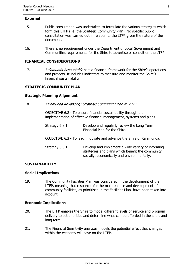#### **External**

- 15. Public consultation was undertaken to formulate the various strategies which form this LTFP (i.e. the Strategic Community Plan). No specific public consultation was carried out in relation to the LTFP given the nature of the document.
- 16. There is no requirement under the Department of Local Government and Communities requirements for the Shire to advertise or consult on the LTFP.

#### **FINANCIAL CONSIDERATIONS**

17. Kalamunda Accountable sets a financial framework for the Shire's operations and projects. It includes indicators to measure and monitor the Shire's financial sustainability.

# **STRATEGIC COMMUNITY PLAN**

#### **Strategic Planning Alignment**

18. Kalamunda Advancing: Strategic Community Plan to 2023

OBJECTIVE 6.8 - To ensure financial sustainability through the implementation of effective financial management, systems and plans.

| Strategy 6.8.1 | Develop and regularly review the Long Term<br>Financial Plan for the Shire.                                                                          |
|----------------|------------------------------------------------------------------------------------------------------------------------------------------------------|
|                | OBJECTIVE 6.3 - To lead, motivate and advance the Shire of Kalamunda.                                                                                |
| Strategy 6.3.1 | Develop and implement a wide variety of informing<br>strategies and plans which benefit the community<br>socially, economically and environmentally. |

#### **SUSTAINABILITY**

#### **Social Implications**

19. The Community Facilities Plan was considered in the development of the LTFP, meaning that resources for the maintenance and development of community facilities, as prioritised in the Facilities Plan, have been taken into account.

#### **Economic Implications**

- 20. The LTFP enables the Shire to model different levels of service and program delivery to set priorities and determine what can be afforded in the short and long term.
- 21. The Financial Sensitivity analyses models the potential effect that changes within the economy will have on the LTFP.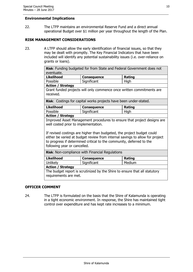#### **Environmental Implications**

22. The LTFP maintains an environmental Reserve Fund and a direct annual operational Budget over \$1 million per year throughout the length of the Plan.

# **RISK MANAGEMENT CONSIDERATIONS**

23. A LTFP should allow the early identification of financial issues, so that they may be dealt with promptly. The Key Financial Indicators that have been included will identify any potential sustainability issues (i.e. over-reliance on grants or loans).

|            | <b>Risk:</b> Funding budgeted for from State and Federal Government does not |  |
|------------|------------------------------------------------------------------------------|--|
| eventuate. |                                                                              |  |
|            |                                                                              |  |

| Likelihood               | <b>Consequence</b> | Rating |
|--------------------------|--------------------|--------|
| Possible                 | Significant        | High   |
| <b>Action / Strategy</b> |                    |        |

Grant funded projects will only commence once written commitments are received.

**Risk**: Costings for capital works projects have been under-stated.

| <b>Likelihood</b>    | <b>Consequence</b> | <b>Rating</b> |
|----------------------|--------------------|---------------|
| Possible             | Significant        | High          |
| $A$ stian / Ctuntosu |                    |               |

#### **Action / Strategy**

Improved Asset Management procedures to ensure that project designs are well costed prior to implementation.

If revised costings are higher than budgeted, the project budget could either be varied at budget review from internal savings to allow for project to progress if determined critical to the community, deferred to the following year or cancelled.

**Risk**: Non-compliance with Financial Regulations

| Likelihood               | <b>Consequence</b> | Rating |
|--------------------------|--------------------|--------|
| Unlikely                 | Significant        | Medium |
| <b>Action / Strategy</b> |                    |        |

The budget report is scrutinized by the Shire to ensure that all statutory requirements are met.

# **OFFICER COMMENT**

24. The LTFP is formulated on the basis that the Shire of Kalamunda is operating in a tight economic environment. In response, the Shire has maintained tight control over expenditure and has kept rate increases to a minimum.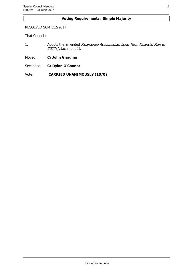# **Voting Requirements: Simple Majority**

#### RESOLVED SCM 112/2017

That Council:

- 1. Adopts the amended Kalamunda Accountable: Long Term Financial Plan to 2027 (Attachment 1).
- Moved: **Cr John Giardina**

Seconded: **Cr Dylan O'Connor**

Vote: **CARRIED UNANIMOUSLY (10/0)**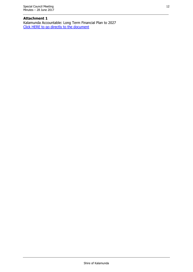#### **Attachment 1**

Kalamunda Accountable: Long Term Financial Plan to 2027 [Click HERE to go directly to the document](http://www.kalamunda.wa.gov.au/files/6e522955-9579-43d9-b928-a79f008dd16c/Item-10-Att-1-SCM-28-June-2017.pdf)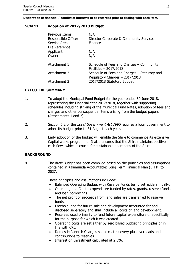**Declaration of financial / conflict of interests to be recorded prior to dealing with each item.**

# <span id="page-12-0"></span>**SCM 11. Adoption of 2017/2018 Budget**

| <b>Previous Items</b><br>Responsible Officer<br>Service Area<br>File Reference | N/A<br>Director Corporate & Community Services<br>Finance                      |
|--------------------------------------------------------------------------------|--------------------------------------------------------------------------------|
| Applicant                                                                      | N/A                                                                            |
| Owner                                                                          | N/A                                                                            |
| Attachment 1                                                                   | Schedule of Fees and Charges – Community<br>Facilities $-2017/2018$            |
| Attachment 2                                                                   | Schedule of Fees and Charges – Statutory and<br>Regulatory Charges - 2017/2018 |
| Attachment 3                                                                   | 2017/2018 Statutory Budget                                                     |

# **EXECUTIVE SUMMARY**

- 1. To adopt the Municipal Fund Budget for the year ended 30 June 2018, representing the Financial Year 2017/2018, together with supporting schedules including striking of the Municipal Fund Rates, adoption of fees and charges and other consequential items arising from the budget papers (Attachments 1 and 2).
- 2. Section 6.2 of the Local Government Act 1995 requires a local government to adopt its budget prior to 31 August each year.
- 3. Early adoption of the budget will enable the Shire to commence its extensive Capital works programme. It also ensures that the Shire maintains positive cash flows which is crucial for sustainable operations of the Shire.

# **BACKGROUND**

4. The draft Budget has been compiled based on the principles and assumptions contained in Kalamunda Accountable: Long Term Financial Plan (LTFP) to 2027.

These principles and assumptions included:

- Balanced Operating Budget with Reserve Funds being set aside annually.
- Operating and Capital expenditure funded by rates, grants, reserve funds and loan borrowings.
- The net profit or proceeds from land sales are transferred to reserve funds.
- Freehold land for future sale and development accounted for and disclosed separately and shall include all costs of land development.
- Reserves used primarily to fund future capital expenditure or specifically for the purpose for which it was created.
- Operating costs are set either by zero based budgeting principles or in line with CPI.
- Domestic Rubbish Charges set at cost recovery plus overheads and contributions to reserves.
- Interest on Investment calculated at 2.5%.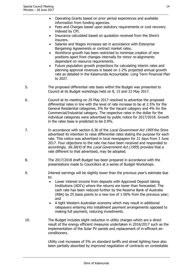- Operating Grants based on prior period experiences and available information from funding agencies.
- Fees and Charges based upon statutory requirements or cost recovery indexed by CPI.
- Insurance calculated based on quotation received from the Shire's insurers.
- Salaries and Wages increases set in accordance with Enterprise Bargaining Agreements or contract market rates.
- Workforce growth has been restricted to minimise creation of new positions apart from changes internally for minor re-alignments dependant on resource requirements.
- Future population growth projections for calculating interim rates and planning approval revenues is based on 1-2% projected annual growth rate as detailed in the Kalamunda Accountable: Long Term Financial Plan to 2027.
- 5. The proposed differential rate basis within the Budget was presented to Council at its Budget workshops held on 8, 15 and 23 May 2017.
- 6. Council at its meeting on 29 May 2017 resolved to advertise the proposed differential rates in line with the level of rate increase to be at 2.5% for the General Residential categories, 5% for the Vacant category and 4% for the Commercial/Industrial category. The respective rates in the dollar for the individual categories were advertised by public notice for 2017/2018. Growth in the rates base is predicted to be 0.9%.
- 7. In accordance with section 6.36 of the Local Government Act 1995 the Shire advertised its intention to raise differential rates stating the purpose for each rate. This notice was advertised in local newspapers for 21 days from 3 June 2017. Four objections to the rate rise have been received and responded to accordingly. S6.36(4) of the Local Government Act (1995) provides that a rate different to that advertised, may be adopted.
- 8. The 2017/2018 draft Budget has been prepared in accordance with the presentations made to Councillors at a series of Budget Workshops.
- 9. Interest earnings will be slightly lower than the previous year's estimate due to:
	- Lower interest income from deposits with Approved Deposit taking Institutions (ADI's) where the returns are lower than forecasted. The cash rate has been reduced further by the Reserve Bank of Australia (RBA) by 25 basis points to a new low of 1.50% from the previous year; and
	- A tight Western Australian economy which may result in additional ratepayers entering into installment payment arrangements opposed to making full payment, reducing investments.
- 10. The Budget includes slight reduction in utility charges which are a direct result of the energy efficient measures undertaken in 2016/2017 such as the implementation of the Solar PV panels and replacement of in-efficient airconditioners.

Utility cost increases of 5% on standard tariffs and street lighting have also been partially absorbed by improved negotiation of contracts on contestable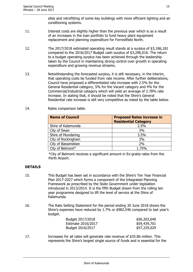sites and retrofitting of some key buildings with more efficient lighting and air conditioning systems.

- 11. Interest costs are slightly higher than the previous year which is as a result of an increases in the loan portfolio to fund heavy plant equipment replacement and planning expenditure for Forrestfield North.
- 12. The 2017/2018 estimated operating result stands at a surplus of \$3,186,181 compared to the 2016/2017 Budget cash surplus of \$3,296,016. The return to a budget operating surplus has been achieved through the leadership taken by the Council in maintaining strong control over growth in operating expenditure and growing revenue streams.
- 13. Notwithstanding the forecasted surplus, it is still necessary, in the interim, that operating costs be funded from rate income. After further deliberations, Council have proposed a differentiated rate increase with 2.5% for the General Residential category, 5% for the Vacant category and 4% for the Commercial/Industrial category which will yield an average of 2.78% rate increase. In stating that, it should be noted that the Shire's General Residential rate increase is still very competitive as noted by the table below.
	- **Name of Council Proposed Rates increase in Residential Category** Shire of Kalamunda 2.5% City of Swan 3% Shire of Mundaring Shire 3.5% City of Rockingham 3% City of Bassendean 2% City of Belmont\* 1.75%
- 14. Rates comparison table:

\*City of Belmont receives a significant amount in Ex-gratia rates from the Perth Airport.

# **DETAILS**

- 15. This Budget has been set in accordance with the Shire's Ten Year Financial Plan 2017-2027 which forms a component of the Integrated Planning Framework as prescribed by the State Government under legislation introduced in 2013/2014. It is the fifth Budget drawn from the rolling ten year programme designed to lift the level of service at the Shire of Kalamunda.
- 16. The Rate Setting Statement for the period ending 30 June 2018 shows the Shire's expenses have reduced by 1.7% or \$982,546 compared to last year's budget.

| Budget 2017/2018   | \$56,203,640 |
|--------------------|--------------|
| Estimate 2016/2017 | \$59,439,701 |
| Budget 2016/2017   | \$57,229,029 |

17. Increases for all rates will generate rate revenue of \$35.86 million. This represents the Shire's largest single source of funds and is essential for the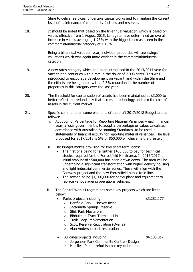Shire to deliver services, undertake capital works and to maintain the current level of maintenance of community facilities and reserves.

18. It should be noted that based on the tri-annual valuation which is based on values effective from 1 August 2015, Landgate have determined an overall increase in values averaging 1.78% with the biggest increase seen in the commercial/industrial category of 4.16%.

> Being a tri-annual valuation year, individual properties will see swings in valuations which was again more evident in the commercial/industrial category.

- 19. A new rates category which had been introduced in the 2013/2014 year for Vacant land continues with a rate in the dollar of 7.993 cents. This was introduced to encourage development on vacant land within the Shire and the effects are being noted with a 2.5% reduction in the number of properties in this category over the last year.
- 20. The threshold for capitalisation of assets has been maintained at \$3,000 to better reflect the redundancy that occurs in technology and also the cost of assets in the current market.
- 21. Specific comments on some elements of the draft 2017/2018 Budget are as follows:
	- i. Adoption of Percentage for Reporting Material Variances each financial year, a local government is to adopt a percentage or value, calculated in accordance with Australian Accounting Standards, to be used in statements of financial activity for reporting material variances. The level proposed for 2017/2018 is 5% or \$50,000 whichever is the greater.
	- ii. The Budget makes provision for two short term loans:
		- The first one being for a further \$450,000 to pay for technical studies required for the Forrestfield North area. In 2016/2017, an initial amount of \$500,000 has been drawn down. The area will be undergoing a significant transformation with higher density housing and light industrial commercial zones. These will align with the Gateway project and the new Forrestfield public train line.
		- The second being \$1,500,000 for heavy plant and equipment to replace various ageing operations vehicles.
	- iii. The Capital Works Program has some key projects which are listed below:
		- Parks projects including:  $$3,282,177$

- $\circ$  Hartfield Park Hockey fields
- o Jacaranda Springs Reserve o Stirk Park Masterplan
- 
- o Bibbulmun Track Terminus Link
- o Trails Loop Implementation
- o Scott Reserve Reticulation (Oval 2)
- o Alan Anderson park restoration
- Buildings projects including: \$4,185,317
- - o Jorgensen Park Community Centre Design  $\circ$  Hartfield Park – refurbish hockey clubrooms

16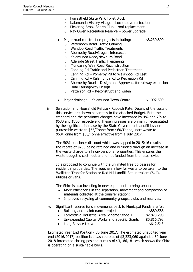- o Forrestfield Skate Park Toilet Block
- o Kalamunda History Village Locomotive restoration
- o Pickering Brook Sports Club roof replacement
	- $\circ$  Ray Owen Recreation Reserve power upgrade
- Major road construction projects including:  $$8,230,899$ 
	- o Wittenoom Road Traffic Calming
	- o Wandoo Road Traffic Treatments
	- o Abernethy Road/Grogan Intersection
	- o Kalamunda Road/Newburn Road
	- o Adelaide Street Traffic Treatments
	- o Mundaring Weir Road Reconstruction
	- o Canning Rd Traffic and Pedestrian Treatment
	- o Canning Rd Pomeroy Rd to Welshpool Rd East
	- o Canning Rd Kalamunda Rd to Recreation Rd
	- $\circ$  Abernethy Road Design and Approvals for railway extension Dual Carriageway Design
	- $\circ$  Patterson Rd Reconstruct and widen
- Major drainage Kalamunda Town Centre \$1,092,500
- iv. Sanitation and Household Refuse Rubbish Rate. Details of the costs of this service are shown separately in the attached Budget. Both the standard and the pensioner charges have increased by 4% and 7% to \$530 and \$300 respectively. These increases are primarily necessitated by the significant increase by the State Government landfill levy on putrescible waste to \$65/Tonne from \$60/Tonne, inert waste to \$60/Tonne from \$50/Tonne effective from 1 July 2017.

The 50% pensioner discount which was capped in 2015/16 results in the rebate of \$230 being retained and is funded through an increase in the waste charge to all non-pensioner properties. This ensures the waste budget is cost neutral and not funded from the rates levied.

It is proposed to continue with the unlimited free tip passes for residential properties. The vouchers allow for waste to be taken to the Walliston Transfer Station or Red Hill Landfill Site in trailers (6x4), utilities or vans.

The Shire is also investing in new equipment to bring about:

- More efficiencies in the separation, movement and compaction of materials collected at the transfer station;
- Improved recycling at community groups, clubs and reserves.
- v. Significant reserve fund movements back to Municipal Funds are for:
	- Building and maintenance projects **\$880,588**
	- Forrestfield Industrial Area Scheme Stage 1 \$2,873,290
	- Un-expended Capital Works and Specific Grants \$5,816,793
	- Long Service Leave  $$612,543$

Estimated Year End Position - 30 June 2017. The estimated unaudited year end (2016/2017) position is a cash surplus of \$3,323,060 against a 30 June 2018 forecasted closing position surplus of \$3,186,181 which shows the Shire is operating on a sustainable basis.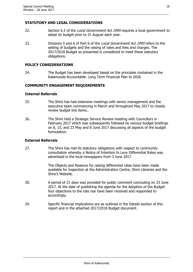# **STATUTORY AND LEGAL CONSIDERATIONS**

- 22. Section 6.2 of the Local Government Act 1995 requires a local government to adopt its budget prior to 31 August each year.
- 23. Divisions 5 and 6 of Part 6 of the *Local Government Act 1995* refers to the setting of budgets and the raising of rates and fees and charges. The 2017/2018 Budget as presented is considered to meet these statutory obligations.

## **POLICY CONSIDERATIONS**

24. The Budget has been developed based on the principles contained in the Kalamunda Accountable: Long Term Financial Plan to 2026.

# **COMMUNITY ENGAGEMENT REQUIREMENTS**

#### **Internal Referrals**

- 25. The Shire has had extensive meetings with senior management and the executive team commencing in March and throughout May 2017 to closely review budget line items..
- 26. The Shire held a Strategic Service Review meeting with Councillors in February 2017 which was subsequently followed by various budget briefings on 8, 15, and 23 May and 8 June 2017 discussing all aspects of the budget formulation.

#### **External Referrals**

27. The Shire has met its statutory obligations with respect to community consultation whereby a Notice of Intention to Levy Differential Rates was advertised in the local newspapers from 3 June 2017.

> The Objects and Reasons for raising differential rates have been made available for inspection at the Administration Centre, Shire Libraries and the Shire's Website.

- 28. A period of 21 days was provided for public comment concluding on 23 June 2017. At the date of publishing the agenda for the Adoption of the Budget four objections to the rate rise have been received and responded to accordingly.
- 29. Specific financial implications are as outlined in the Details section of this report and in the attached 2017/2018 Budget document.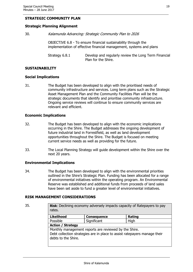# **STRATEGIC COMMUNITY PLAN**

# **Strategic Planning Alignment**

30. Kalamunda Advancing: Strategic Community Plan to 2026

OBJECTIVE 6.8 - To ensure financial sustainability through the implementation of effective financial management, systems and plans

Strategy 6.8.1 Develop and regularly review the Long Term Financial Plan for the Shire.

### **SUSTAINABILITY**

#### **Social Implications**

31. The Budget has been developed to align with the prioritised needs of community infrastructure and services. Long term plans such as the Strategic Asset Management Plan and the Community Facilities Plan will be the strategic documents that identify and prioritise community infrastructure. Ongoing service reviews will continue to ensure community services are relevant and efficient.

#### **Economic Implications**

- 32. The Budget has been developed to align with the economic implications occurring in the Shire. The Budget addresses the ongoing development of future industrial land in Forrestfield, as well as land development opportunities throughout the Shire. The Budget is focused on meeting current service needs as well as providing for the future.
- 33. The Local Planning Strategy will guide development within the Shire over the next 20 years.

# **Environmental Implications**

34. The Budget has been developed to align with the environmental priorities outlined in the Shire's Strategic Plan. Funding has been allocated for a range of environmental initiatives within the operating program. An Environmental Reserve was established and additional funds from proceeds of land sales have been set aside to fund a greater level of environmental initiatives.

# **RISK MANAGEMENT CONSIDERATIONS**

35. **Risk**: Declining economy adversely impacts capacity of Ratepayers to pay rates.

| <b>Likelihood</b>        | <b>Consequence</b>                                                                                                                 | Rating |
|--------------------------|------------------------------------------------------------------------------------------------------------------------------------|--------|
| Possible                 | Significant                                                                                                                        | High   |
| <b>Action / Strategy</b> |                                                                                                                                    |        |
| debts to the Shire.      | Monthly management reports are reviewed by the Shire.<br>Debt collection strategies are in place to assist ratepayers manage their |        |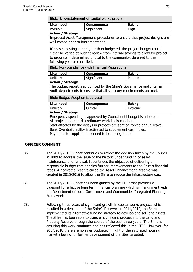| Risk: Understatement of capital works program                                                                                                                                                                                                                                                                                        |                                                                         |                                                                         |  |
|--------------------------------------------------------------------------------------------------------------------------------------------------------------------------------------------------------------------------------------------------------------------------------------------------------------------------------------|-------------------------------------------------------------------------|-------------------------------------------------------------------------|--|
| <b>Likelihood</b>                                                                                                                                                                                                                                                                                                                    | <b>Consequence</b>                                                      | Rating                                                                  |  |
| Possible                                                                                                                                                                                                                                                                                                                             | Significant                                                             | High                                                                    |  |
| <b>Action / Strategy</b>                                                                                                                                                                                                                                                                                                             |                                                                         |                                                                         |  |
| well costed prior to implementation.                                                                                                                                                                                                                                                                                                 |                                                                         | Improved Asset Management procedures to ensure that project designs are |  |
| If revised costings are higher than budgeted, the project budget could<br>either be varied at budget review from internal savings to allow for project<br>to progress if determined critical to the community, deferred to the<br>following year or cancelled.                                                                       |                                                                         |                                                                         |  |
|                                                                                                                                                                                                                                                                                                                                      | <b>Risk: Non-compliance with Financial Regulations</b>                  |                                                                         |  |
| <b>Likelihood</b>                                                                                                                                                                                                                                                                                                                    | <b>Consequence</b>                                                      | Rating                                                                  |  |
| <b>Unlikely</b>                                                                                                                                                                                                                                                                                                                      | Significant                                                             | Medium                                                                  |  |
| <b>Action / Strategy</b>                                                                                                                                                                                                                                                                                                             |                                                                         |                                                                         |  |
|                                                                                                                                                                                                                                                                                                                                      | The budget report is scrutinized by the Shire's Governance and Internal |                                                                         |  |
|                                                                                                                                                                                                                                                                                                                                      | Audit departments to ensure that all statutory requirements are met.    |                                                                         |  |
| Risk: Budget Adoption is delayed                                                                                                                                                                                                                                                                                                     |                                                                         |                                                                         |  |
| <b>Likelihood</b>                                                                                                                                                                                                                                                                                                                    | <b>Consequence</b>                                                      | Rating                                                                  |  |
| Unlikely                                                                                                                                                                                                                                                                                                                             | Critical                                                                | Extreme                                                                 |  |
| <b>Action / Strategy</b>                                                                                                                                                                                                                                                                                                             |                                                                         |                                                                         |  |
| Emergency spending is approved by Council until budget is adopted.<br>All project and non-discretionary work is dis-continued.<br>Staff affected by the delays in projects are sent on forced annual leave.<br>Bank Overdraft facility is activated to supplement cash flows.<br>Payments to suppliers may need to be re-negotiated. |                                                                         |                                                                         |  |

# **OFFICER COMMENT**

- 36. The 2017/2018 Budget continues to reflect the decision taken by the Council in 2009 to address the issue of the historic under funding of asset maintenance and renewal. It continues the objective of delivering a responsible budget that enables further improvements to the Shire's financial ratios. A dedicated reserve called the Asset Enhancement Reserve was created in 2015/2016 to allow the Shire to reduce the infrastructure gap.
- 37. The 2017/2018 Budget has been guided by the LTFP that provides a blueprint for effective long term financial planning which is in alignment with the Department of Local Government and Communities Integrated Planning Framework.
- 38. Following three years of significant growth in capital works projects which resulted in a depletion of the Shire's Reserves in 2011/2012, the Shire implemented its alternative funding strategy to develop and sell land assets. The Shire has been able to transfer significant proceeds to the Land and Property Reserve through the course of the past three years. The Shire is ensuring this work continues and has reflected this in the LTFP. However, for 2017/2018 there are no sales budgeted in light of the saturated housing market allowing for further development of the sites targeted.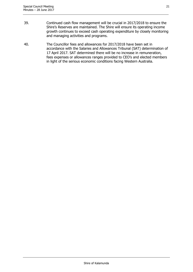- 39. Continued cash flow management will be crucial in 2017/2018 to ensure the Shire's Reserves are maintained. The Shire will ensure its operating income growth continues to exceed cash operating expenditure by closely monitoring and managing activities and programs.
- 40. The Councillor fees and allowances for 2017/2018 have been set in accordance with the Salaries and Allowances Tribunal (SAT) determination of 17 April 2017. SAT determined there will be no increase in remuneration, fees expenses or allowances ranges provided to CEO's and elected members in light of the serious economic conditions facing Western Australia.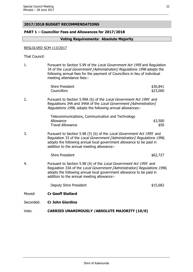# **2017/2018 BUDGET RECOMMENDATIONS**

#### **PART 1 – Councillor Fees and Allowances for 2017/2018**

#### **Voting Requirements: Absolute Majority**

#### RESLOLVED SCM 113/2017

That Council:

| 1.        | Pursuant to Section 5.99 of the <i>Local Government Act 1995</i> and Regulation<br>34 of the Local Government [Administration] Regulations 1996 adopts the<br>following annual fees for the payment of Councillors in lieu of individual<br>meeting attendance fees:-          |                      |
|-----------|--------------------------------------------------------------------------------------------------------------------------------------------------------------------------------------------------------------------------------------------------------------------------------|----------------------|
|           | <b>Shire President</b><br>Councillors                                                                                                                                                                                                                                          | \$30,841<br>\$23,000 |
| 2.        | Pursuant to Section 5.99A (b) of the <i>Local Government Act 1995</i> and<br>Regulations 34A and 34AA of the Local Government [Administration]<br>Regulations 1996, adopts the following annual allowances:-                                                                   |                      |
|           | Telecommunications, Communication and Technology<br>Allowance<br><b>Travel Allowance</b>                                                                                                                                                                                       | \$3,500<br>\$50      |
| 3.        | Pursuant to Section 5.98 (5) (b) of the <i>Local Government Act 1995</i> and<br>Regulation 33 of the Local Government [Administration] Regulations 1996,<br>adopts the following annual local government allowance to be paid in<br>addition to the annual meeting allowance:- |                      |
|           | <b>Shire President</b>                                                                                                                                                                                                                                                         | \$62,727             |
| 4.        | Pursuant to Section 5.98 (A) of the Local Government Act 1995 and<br>Regulation 33A of the Local Government [Administration] Regulations 1996,<br>adopts the following annual local government allowance to be paid in<br>addition to the annual meeting allowance:-           |                      |
|           | Deputy Shire President                                                                                                                                                                                                                                                         | \$15,682             |
| Moved:    | <b>Cr Geoff Stallard</b>                                                                                                                                                                                                                                                       |                      |
| Seconded: | <b>Cr John Giardina</b>                                                                                                                                                                                                                                                        |                      |
| Vote:     | CARRIED UNANIMOUSLY / ABSOLUTE MAJORITY (10/0)                                                                                                                                                                                                                                 |                      |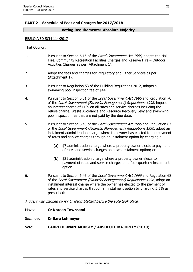# **PART 2 – Schedule of Fees and Charges for 2017/2018**

#### **Voting Requirements: Absolute Majority**

#### RESLOLVED SCM 114/2017

That Council:

- 1. Pursuant to Section 6.16 of the Local Government Act 1995, adopts the Hall Hire, Community Recreation Facilities Charges and Reserve Hire – Outdoor Activities Charges as per (Attachment 1).
- 2. Adopt the fees and charges for Regulatory and Other Services as per (Attachment 1).
- 3. Pursuant to Regulation 53 of the Building Regulations 2012, adopts a swimming pool inspection fee of \$44.
- 4. Pursuant to Section 6.51 of the Local Government Act 1995 and Regulation 70 of the Local Government [Financial Management] Regulations 1996, impose an interest charge of 11% on all rates and service charges including the refuse charge, Waste Avoidance and Resource Recovery Levy and swimming pool inspection fee that are not paid by the due date.
- 5. Pursuant to Section 6.45 of the Local Government Act 1995 and Regulation 67 of the Local Government [Financial Management] Regulations 1996, adopt an instalment administration charge where the owner has elected to the payment of rates and service charges through an instalment option by charging a:
	- (a) \$7 administration charge where a property owner elects to payment of rates and service charges on a two instalment option; or
	- (b) \$21 administration charge where a property owner elects to payment of rates and service charges on a four quarterly instalment option.
- 6. Pursuant to Section 6.45 of the Local Government Act 1995 and Regulation 68 of the Local Government [Financial Management] Regulations 1996, adopt an instalment interest charge where the owner has elected to the payment of rates and service charges through an instalment option by charging 5.5% as prescribed:

A query was clarified by for Cr Geoff Stallard before the vote took place.

Moved: **Cr Noreen Townsend**

Seconded: **Cr Sara Lohmeyer**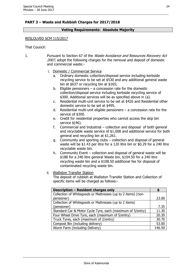# **PART 3 – Waste and Rubbish Charges for 2017/2018**

#### **Voting Requirements: Absolute Majority**

#### RESLOLVED SCM 115/2017

That Council:

- 1. Pursuant to Section 67 of the *Waste Avoidance and Resources Recovery Act* 2007, adopt the following charges for the removal and deposit of domestic and commercial waste:
	- i. Domestic / Commercial Service
		- a. Ordinary domestic collection/disposal service including kerbside recycling service to be set at \$530 and any additional general waste bin at \$637 or recycling bin at \$165;
		- b. Eligible pensioners a concession rate for the domestic collection/disposal service including kerbside recycling service of \$300. Additional services will be as specified above in (a).
		- c. Residential multi-unit service to be set at \$426 and Residential other domestic service to be set at \$495.
		- d. Residential multi-unit eligible pensioners a concession rate for the service of \$300.
		- e. Credit for residential properties who cannot access the skip bin service \$(46).
		- f. Commercial and Industrial collection and disposal of both general and recyclable waste service of \$1,008 and additional service for both general and recycling bin at \$1,261.
		- g. Community and sporting clubs collection and disposal of general waste will be \$1.43 per litre for a 120 litre bin or \$0.29 for a 240 litre recyclable waste bin.
		- h. Community Event collection and disposal of general waste will be \$188 for a 240 litre general Waste bin, \$104.50 for a 240 litre recycling waste bin and a \$108.50 additional fee for disposal of contaminated recycling waste bin.

#### ii. Walliston Transfer Station

The deposit of rubbish at Walliston Transfer Station and Collection of specific items will be charged as follows:-

| Description - Resident charges only                          |        |
|--------------------------------------------------------------|--------|
| Collection of Whitegoods or Mattresses (up to 2 items) (non- |        |
| pensioner)                                                   | 23.00  |
| Collection of Whitegoods or Mattresses (up to 2 items)       |        |
| (pensioner)                                                  | 7.35   |
| Standard Car & Motor Cycle Tyre, each (maximum of 5/entry)   | 11.30  |
| Four Wheel Drive Tyre, each (maximum of 5/entry)             | 20.30  |
| Truck Tyres, each (maximum of 2/entry)                       | 30.70  |
| Compost Bin (including delivery)                             | 53.00  |
| Worm Farm (including Delivery)                               | 146.50 |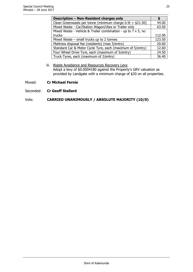| Description - Non-Resident charges only                       |        |
|---------------------------------------------------------------|--------|
| Clean Greenwaste per tonne (minimum charge $0.5t = $21.50$ )  | 44.00  |
| Mixed Waste - Car/Station Wagon/Utes or Trailer only          | 63.50  |
| Mixed Waste - Vehicle & Trailer combination - up to 7 x 5, no |        |
| trucks                                                        | 112.00 |
| Mixed Waste $-$ small trucks up to 2 tonnes                   | 123.50 |
| Mattress disposal fee (residents) (max 5/entry)               | 20.60  |
| Standard Car & Motor Cycle Tyre, each (maximum of 5/entry)    | 12.60  |
| Four Wheel Drive Tyre, each (maximum of 5/entry)              | 24.50  |
| Truck Tyres, each (maximum of 2/entry)                        | 36.40  |

iii. Waste Avoidance and Resources Recovery Levy Adopt a levy of \$0.0004180 against the Property's GRV valuation as provided by Landgate with a minimum charge of \$20 on all properties.

Moved: **Cr Michael Fernie**

Seconded: **Cr Geoff Stallard**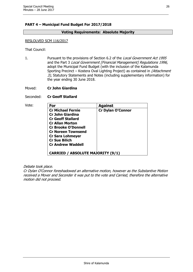# **PART 4 – Municipal Fund Budget For 2017/2018**

#### **Voting Requirements: Absolute Majority**

#### RESLOLVED SCM 116/2017

That Council:

- 1. Pursuant to the provisions of Section 6.2 of the Local Government Act 1995 and the Part 3 Local Government [Financial Management] Regulations 1996, adopt the Municipal Fund Budget (with the inclusion of the Kalamunda Sporting Precinct – Kostera Oval Lighting Project) as contained in (Attachment 3), Statutory Statements and Notes (including supplementary information) for the year ending 30 June 2018.
- Moved: **Cr John Giardina**
- Seconded: **Cr Geoff Stallard**

| Vote: | For                                      | <b>Against</b>           |
|-------|------------------------------------------|--------------------------|
|       | <b>Cr Michael Fernie</b>                 | <b>Cr Dylan O'Connor</b> |
|       | <b>Cr John Giardina</b>                  |                          |
|       | <b>Cr Geoff Stallard</b>                 |                          |
|       | <b>Cr Allan Morton</b>                   |                          |
|       | <b>Cr Brooke O'Donnell</b>               |                          |
|       | <b>Cr Noreen Townsend</b>                |                          |
|       | <b>Cr Sara Lohmeyer</b>                  |                          |
|       | <b>Cr Sue Bilich</b>                     |                          |
|       | <b>Cr Andrew Waddell</b>                 |                          |
|       | <b>CARRIED / ABSOLUTE MAJORITY (9/1)</b> |                          |

Debate took place.

Cr Dylan O'Connor foreshadowed an alternative motion, however as the Substantive Motion received a Mover and Seconder it was put to the vote and Carried, therefore the alternative motion did not proceed.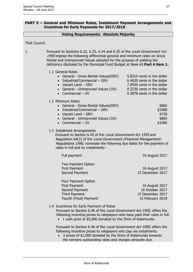#### **PART 5 – General and Minimum Rates, Instalment Payment Arrangements and Incentives for Early Payments for 2017/2018**

#### **Voting Requirements: Absolute Majority**

#### That Council:

- 1. Pursuant to Sections 6.32, 6.33, 6.34 and 6.35 of the Local Government Act 1995 impose the following differential general and minimum rates on Gross Rental and Unimproved Values adopted for the purpose of yielding the deficiency disclosed by the Municipal Fund Budget at Item 13 **Part 4 item 1.**
	- 1.1 General Rates

| • General - Gross Rental Values (GRV)<br>Industrial/Commercial - GRV<br>$\bullet$<br>• Vacant Land $-$ GRV<br>General - Unimproved Values (UV)<br>• Commercial $-$ UV    | 5.8310 cents in the dollar<br>6.4820 cents in the dollar<br>7.9930 cents in the dollar<br>0.3236 cents in the dollar<br>0.3878 cents in the dollar |
|--------------------------------------------------------------------------------------------------------------------------------------------------------------------------|----------------------------------------------------------------------------------------------------------------------------------------------------|
| 1.2 Minimum Rates<br>• General - Gross Rental Values(GRV)<br>Industrial/Commercial – GRV<br>Vacant Land – GRV<br>General - Unimproved Values (UV)<br>• Commercial $-$ UV | \$865<br>\$1080<br>\$730<br>\$865<br>\$1080                                                                                                        |
| 1.3 Instalment Arrangements<br>Pursuant to Section 6.45 of the Local Government Act 1995 and                                                                             |                                                                                                                                                    |

#### 1.3 Instalment Arrangements

Pursuant to Section 6.45 of the Local Government Act 1995 and Regulation 64(2) of the Local Government (Financial Management) Regulations 1996, nominate the following due dates for the payment of rates in full and by instalments:-

| Full payment                                                 | 16 August 2017                     |
|--------------------------------------------------------------|------------------------------------|
| <b>Two Payment Option</b><br>First Payment<br>Second Payment | 16 August 2017<br>15 December 2017 |
| Four Payment Option                                          |                                    |
| <b>First Payment</b>                                         | 16 August 2017                     |
| Second Payment                                               | 16 October 2017                    |
| Third Payment                                                | 15 December 2017                   |
| Fourth (Final) Payment                                       | 16 February 2018                   |

1.4 Incentives for Early Payment of Rates

Pursuant to Section 6.46 of the Local Government Act 1995, offers the following incentive prizes to ratepayers who have paid their rates in full:

• 1 cash prize of \$5,000 donated by the Shire of Kalamunda.

Pursuant to Section 6.46 of the Local Government Act 1995, offers the following incentive prizes to ratepayers who pay via instalments:

• 3 prizes of \$1,000 donated by the Shire of Kalamunda towards the winners outstanding rates and charges amounts due.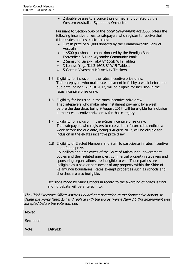• 2 double passes to a concert preformed and donated by the Western Australian Symphony Orchestra.

Pursuant to Section 6.46 of the *Local Government Act 1995*, offers the following incentive prizes to ratepayers who register to receive their future rates notices electronically:

- 1 cash prize of \$1,000 donated by the Commonwealth Bank of Australia.
- 1 \$500 passbook account donated by the Bendigo Bank Forrestfield & High Wycombe Community Bank.
- 2 Samsung Galaxy TabA 8" 16GB WiFi Tablets
- 3 Lenovo Yoga Tab3 16GB 8" WiFi Tablets
- 5 Garmin Vivosmart HR Activity Trackers
- 1.5 Eligibility for inclusion in the rates incentive prize draw. That ratepayers who make rates payment in full by a week before the due date, being 9 August 2017, will be eligible for inclusion in the rates incentive prize draw.
- 1.6 Eligibility for inclusion in the rates incentive prize draw. That ratepayers who make rates instalment payment by a week before the due date, being 9 August 2017, will be eligible for inclusion in the rates incentive prize draw for that category.
- 1.7 Eligibility for inclusion in the eRates incentive prize draw. That ratepayers who registers to receive their future rates notices a week before the due date, being 9 August 2017, will be eligible for inclusion in the eRates incentive prize draw.
- 1.8 Eligibility of Elected Members and Staff to participate in rates incentive and eRates prize.

Councillors and employees of the Shire of Kalamunda, government bodies and their related agencies, commercial property ratepayers and sponsoring organisations are ineligible to win. These parties are ineligible as a sole or part owner of any property within the Shire of Kalamunda boundaries. Rates exempt properties such as schools and churches are also ineligible.

Decisions made by Shire Officers in regard to the awarding of prizes is final and no debate will be entered into.

The Chief Executive Officer advised Council of a correction to the Substantive Motion, to delete the words "item 13" and replace with the words "Part 4 Item 1", this amendment was accepted before the vote was put.

Moved:

Seconded:

Vote: **LAPSED**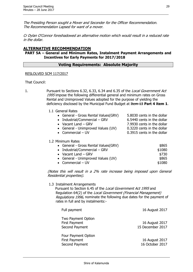The Presiding Person sought a Mover and Seconder for the Officer Recommendation. The Recommendation Lapsed for want of a mover.

Cr Dylan O'Connor foreshadowed an alternative motion which would result in a reduced rate in the dollar.

# **ALTERNATIVE RECOMMENDATION**

**PART 5A – General and Minimum Rates, Instalment Payment Arrangements and Incentives for Early Payments for 2017/2018**

# **Voting Requirements: Absolute Majority**

RESLOLVED SCM 117/2017

That Council:

- 1. Pursuant to Sections 6.32, 6.33, 6.34 and 6.35 of the Local Government Act 1995 impose the following differential general and minimum rates on Gross Rental and Unimproved Values adopted for the purpose of yielding the deficiency disclosed by the Municipal Fund Budget at Item 13 **Part 4 item 1**.
	- 1.1 General Rates

| • General - Gross Rental Values(GRV)<br>$\bullet$ Industrial/Commercial - GRV<br>$\bullet$ Vacant Land $-$ GRV<br>• General - Unimproved Values (UV)<br>$\bullet$ Commercial - UV | 5.8030 cents in the dollar<br>6.5440 cents in the dollar<br>7.9930 cents in the dollar<br>0.3220 cents in the dollar<br>0.3915 cents in the dollar |
|-----------------------------------------------------------------------------------------------------------------------------------------------------------------------------------|----------------------------------------------------------------------------------------------------------------------------------------------------|
| 1.2 Minimum Rates                                                                                                                                                                 |                                                                                                                                                    |
| • General - Gross Rental Values(GRV)                                                                                                                                              | \$865                                                                                                                                              |
| Industrial/Commercial - GRV<br>$\bullet$                                                                                                                                          | \$1080                                                                                                                                             |
| • Vacant Land $-$ GRV                                                                                                                                                             | \$730                                                                                                                                              |
| • General - Unimproved Values (UV)                                                                                                                                                | \$865                                                                                                                                              |

•  $\text{Commercial} - \text{UV}$  \$1080

(Notes this will result in a 2% rate increase being imposed upon General Residential properties).

1.3 Instalment Arrangements

Pursuant to Section 6.45 of the Local Government Act 1995 and Regulation 64(2) of the Local Government (Financial Management) Regulations 1996, nominate the following due dates for the payment of rates in full and by instalments:-

| Full payment                                                        | 16 August 2017                     |
|---------------------------------------------------------------------|------------------------------------|
| <b>Two Payment Option</b><br><b>First Payment</b><br>Second Payment | 16 August 2017<br>15 December 2017 |
| Four Payment Option<br><b>First Payment</b><br>Second Payment       | 16 August 2017<br>16 October 2017  |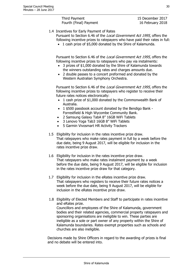|     | 1.4 Incentives for Early Payment of Rates<br>Pursuant to Section 6.46 of the Local Government Act 1995, offers the<br>following incentive prizes to ratepayers who have paid their rates in full:<br>1 cash prize of \$5,000 donated by the Shire of Kalamunda.                                                                                                                                                                                                                                                                                                       |
|-----|-----------------------------------------------------------------------------------------------------------------------------------------------------------------------------------------------------------------------------------------------------------------------------------------------------------------------------------------------------------------------------------------------------------------------------------------------------------------------------------------------------------------------------------------------------------------------|
|     | Pursuant to Section 6.46 of the Local Government Act 1995, offers the<br>following incentive prizes to ratepayers who pay via instalments:<br>3 prizes of \$1,000 donated by the Shire of Kalamunda towards<br>the winners outstanding rates and charges amounts due.<br>2 double passes to a concert preformed and donated by the<br>$\bullet$<br>Western Australian Symphony Orchestra.                                                                                                                                                                             |
|     | Pursuant to Section 6.46 of the Local Government Act 1995, offers the<br>following incentive prizes to ratepayers who register to receive their<br>future rates notices electronically:<br>1 cash prize of \$1,000 donated by the Commonwealth Bank of<br>Australia.<br>1 \$500 passbook account donated by the Bendigo Bank -<br>$\bullet$<br>Forrestfield & High Wycombe Community Bank.<br>2 Samsung Galaxy TabA 8" 16GB WiFi Tablets<br>$\bullet$<br>3 Lenovo Yoga Tab3 16GB 8" WiFi Tablets<br>$\bullet$<br>5 Garmin Vivosmart HR Activity Trackers<br>$\bullet$ |
|     | 1.5 Eligibility for inclusion in the rates incentive prize draw.<br>That ratepayers who make rates payment in full by a week before the<br>due date, being 9 August 2017, will be eligible for inclusion in the<br>rates incentive prize draw.                                                                                                                                                                                                                                                                                                                        |
| 1.6 | Eligibility for inclusion in the rates incentive prize draw.<br>That ratepayers who make rates instalment payment by a week<br>before the due date, being 9 August 2017, will be eligible for inclusion<br>in the rates incentive prize draw for that category.                                                                                                                                                                                                                                                                                                       |
|     | 1.7 Eligibility for inclusion in the eRates incentive prize draw.<br>That ratepayers who registers to receive their future rates notices a<br>week before the due date, being 9 August 2017, will be eligible for                                                                                                                                                                                                                                                                                                                                                     |

Third Payment 15 December 2017 Fourth (Final) Payment 16 February 2018

1.8 Eligibility of Elected Members and Staff to participate in rates incentive and eRates prize. Councillors and employees of the Shire of Kalamunda, government bodies and their related agencies, commercial property ratepayers and sponsoring organisations are ineligible to win. These parties are ineligible as a sole or part owner of any property within the Shire of Kalamunda boundaries. Rates exempt properties such as schools and churches are also ineligible.

Decisions made by Shire Officers in regard to the awarding of prizes is final and no debate will be entered into.

inclusion in the eRates incentive prize draw.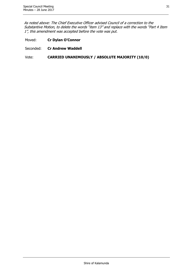As noted above: The Chief Executive Officer advised Council of a correction to the Substantive Motion, to delete the words "item 13" and replace with the words "Part 4 Item 1", this amendment was accepted before the vote was put.

- Moved: **Cr Dylan O'Connor**
- Seconded: **Cr Andrew Waddell**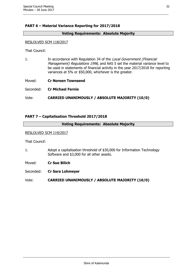# **PART 6 – Material Variance Reporting for 2017/2018**

#### **Voting Requirements: Absolute Majority**

#### RESLOLVED SCM 118/2017

That Council:

- 1. In accordance with Regulation 34 of the Local Government (Financial Management) Regulations 1996, and AAS 5 set the material variance level to be used in statements of financial activity in the year 2017/2018 for reporting variances at 5% or \$50,000, whichever is the greater.
- Moved: **Cr Noreen Townsend**
- Seconded: **Cr Michael Fernie**

Vote: **CARRIED UNANIMOUSLY / ABSOLUTE MAJORITY (10/0)**

#### **PART 7 – Capitalisation Threshold 2017/2018**

#### **Voting Requirements: Absolute Majority**

#### RESLOLVED SCM 119/2017

That Council:

- 1. Adopt a capitalisation threshold of \$30,000 for Information Technology Software and \$3,000 for all other assets.
- Moved: **Cr Sue Bilich**
- Seconded: **Cr Sara Lohmeyer**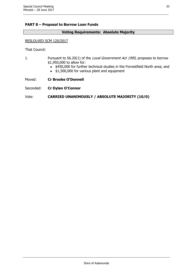#### **PART 8 – Proposal to Borrow Loan Funds**

#### **Voting Requirements: Absolute Majority**

#### RESLOLVED SCM 120/2017

That Council:

- 1. Pursuant to S6.20(1) of the Local Government Act 1995, proposes to borrow \$1,950,000 to allow for:
	- \$450,000 for further technical studies in the Forrestfield North area; and
	- \$1,500,000 for various plant and equipment

Moved: **Cr Brooke O'Donnell**

Seconded: **Cr Dylan O'Connor**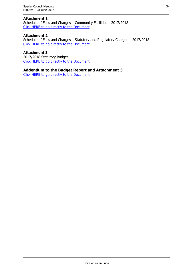#### **Attachment 1**

Schedule of Fees and Charges – Community Facilities – 2017/2018 [Click HERE to go directly to the Document](http://www.kalamunda.wa.gov.au/files/b661c0c6-9d68-4406-8822-a79f008e37e3/Item-11-Att-1-SCM-28-June-2017.pdf)

# **Attachment 2**

Schedule of Fees and Charges – Statutory and Regulatory Charges – 2017/2018 [Click HERE to go directly to the Document](http://www.kalamunda.wa.gov.au/files/7a19e636-ca50-4732-b05a-a79f008e6102/Item-11-Att-2-SCM-28-June-2017.pdf)

#### **Attachment 3**

2017/2018 Statutory Budget [Click HERE to go directly to the Document](http://www.kalamunda.wa.gov.au/files/eef59592-3a79-4bef-988f-a79f008ea113/Item-11-Att-3-SCM-28-June-2017.pdf)

# **Addendum to the Budget Report and Attachment 3**

[Click HERE to go directly to the Document](http://www.kalamunda.wa.gov.au/files/6bda3033-5271-4238-8a86-a7bd008f6dae/Item-11-Addendum-SCM-28-June-2017.pdf)